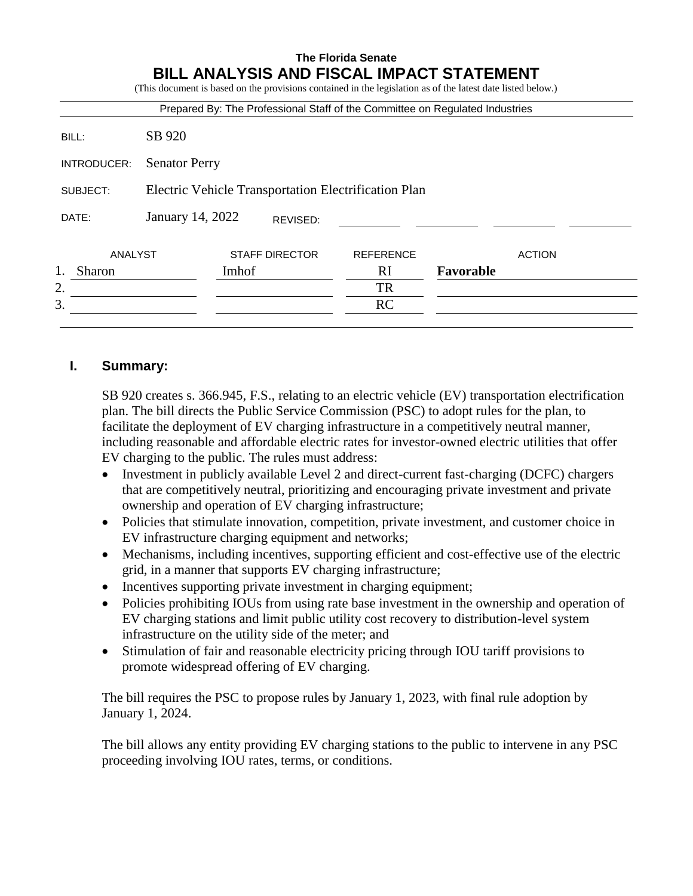|             |                                                      |       |                       | <b>BILL ANALYSIS AND FISCAL IMPACT STATEMENT</b><br>(This document is based on the provisions contained in the legislation as of the latest date listed below.)<br>Prepared By: The Professional Staff of the Committee on Regulated Industries |           |               |
|-------------|------------------------------------------------------|-------|-----------------------|-------------------------------------------------------------------------------------------------------------------------------------------------------------------------------------------------------------------------------------------------|-----------|---------------|
|             | SB 920                                               |       |                       |                                                                                                                                                                                                                                                 |           |               |
| BILL:       |                                                      |       |                       |                                                                                                                                                                                                                                                 |           |               |
| INTRODUCER: | <b>Senator Perry</b>                                 |       |                       |                                                                                                                                                                                                                                                 |           |               |
| SUBJECT:    | Electric Vehicle Transportation Electrification Plan |       |                       |                                                                                                                                                                                                                                                 |           |               |
| DATE:       | January 14, 2022                                     |       | REVISED:              |                                                                                                                                                                                                                                                 |           |               |
| ANALYST     |                                                      |       | <b>STAFF DIRECTOR</b> | <b>REFERENCE</b>                                                                                                                                                                                                                                |           | <b>ACTION</b> |
| Sharon      |                                                      | Imhof |                       | <b>RI</b>                                                                                                                                                                                                                                       | Favorable |               |
| 2.          |                                                      |       |                       | <b>TR</b>                                                                                                                                                                                                                                       |           |               |
| 3.          |                                                      |       |                       | <b>RC</b>                                                                                                                                                                                                                                       |           |               |

# **I. Summary:**

SB 920 creates s. 366.945, F.S., relating to an electric vehicle (EV) transportation electrification plan. The bill directs the Public Service Commission (PSC) to adopt rules for the plan, to facilitate the deployment of EV charging infrastructure in a competitively neutral manner, including reasonable and affordable electric rates for investor-owned electric utilities that offer EV charging to the public. The rules must address:

- Investment in publicly available Level 2 and direct-current fast-charging (DCFC) chargers that are competitively neutral, prioritizing and encouraging private investment and private ownership and operation of EV charging infrastructure;
- Policies that stimulate innovation, competition, private investment, and customer choice in EV infrastructure charging equipment and networks;
- Mechanisms, including incentives, supporting efficient and cost-effective use of the electric grid, in a manner that supports EV charging infrastructure;
- Incentives supporting private investment in charging equipment;
- Policies prohibiting IOUs from using rate base investment in the ownership and operation of EV charging stations and limit public utility cost recovery to distribution-level system infrastructure on the utility side of the meter; and
- Stimulation of fair and reasonable electricity pricing through IOU tariff provisions to promote widespread offering of EV charging.

The bill requires the PSC to propose rules by January 1, 2023, with final rule adoption by January 1, 2024.

The bill allows any entity providing EV charging stations to the public to intervene in any PSC proceeding involving IOU rates, terms, or conditions.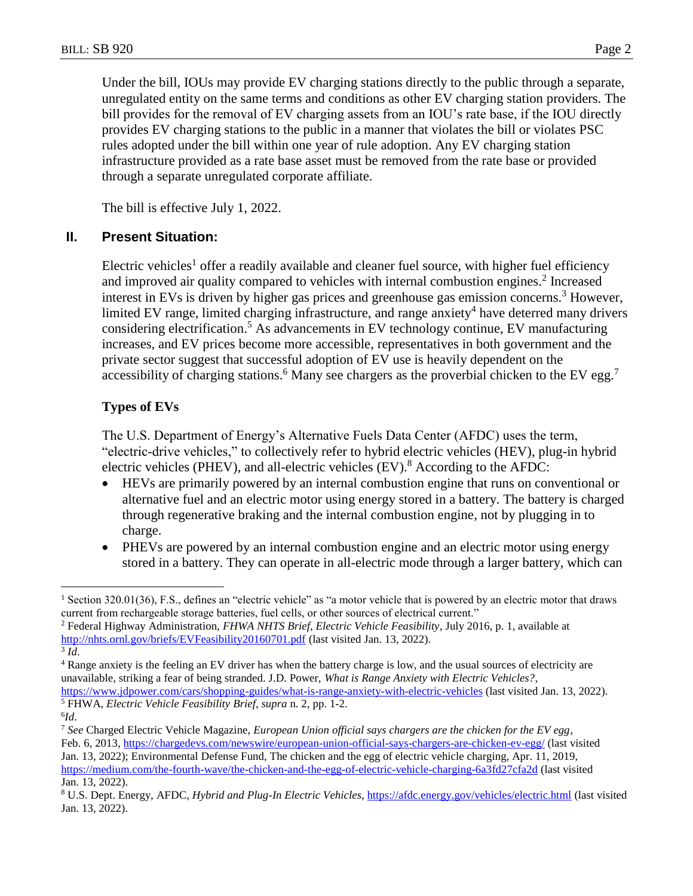Under the bill, IOUs may provide EV charging stations directly to the public through a separate, unregulated entity on the same terms and conditions as other EV charging station providers. The bill provides for the removal of EV charging assets from an IOU's rate base, if the IOU directly provides EV charging stations to the public in a manner that violates the bill or violates PSC rules adopted under the bill within one year of rule adoption. Any EV charging station infrastructure provided as a rate base asset must be removed from the rate base or provided through a separate unregulated corporate affiliate.

The bill is effective July 1, 2022.

### **II. Present Situation:**

Electric vehicles<sup>1</sup> offer a readily available and cleaner fuel source, with higher fuel efficiency and improved air quality compared to vehicles with internal combustion engines.<sup>2</sup> Increased interest in EVs is driven by higher gas prices and greenhouse gas emission concerns. <sup>3</sup> However, limited EV range, limited charging infrastructure, and range anxiety<sup>4</sup> have deterred many drivers considering electrification. <sup>5</sup> As advancements in EV technology continue, EV manufacturing increases, and EV prices become more accessible, representatives in both government and the private sector suggest that successful adoption of EV use is heavily dependent on the accessibility of charging stations.<sup>6</sup> Many see chargers as the proverbial chicken to the EV egg.<sup>7</sup>

## **Types of EVs**

The U.S. Department of Energy's Alternative Fuels Data Center (AFDC) uses the term, "electric-drive vehicles," to collectively refer to hybrid electric vehicles (HEV), plug-in hybrid electric vehicles (PHEV), and all-electric vehicles  $(EV)$ .<sup>8</sup> According to the AFDC:

- HEVs are primarily powered by an internal combustion engine that runs on conventional or alternative fuel and an electric motor using energy stored in a battery. The battery is charged through regenerative braking and the internal combustion engine, not by plugging in to charge.
- PHEVs are powered by an internal combustion engine and an electric motor using energy stored in a battery. They can operate in all-electric mode through a larger battery, which can

<sup>&</sup>lt;sup>1</sup> Section 320.01(36), F.S., defines an "electric vehicle" as "a motor vehicle that is powered by an electric motor that draws current from rechargeable storage batteries, fuel cells, or other sources of electrical current."

<sup>2</sup> Federal Highway Administration, *FHWA NHTS Brief, Electric Vehicle Feasibility*, July 2016, p. 1, available at <http://nhts.ornl.gov/briefs/EVFeasibility20160701.pdf> (last visited Jan. 13, 2022). 3 *Id*.

<sup>4</sup> Range anxiety is the feeling an EV driver has when the battery charge is low, and the usual sources of electricity are unavailable, striking a fear of being stranded. J.D. Power, *What is Range Anxiety with Electric Vehicles?*,

<https://www.jdpower.com/cars/shopping-guides/what-is-range-anxiety-with-electric-vehicles> (last visited Jan. 13, 2022). <sup>5</sup> FHWA, *Electric Vehicle Feasibility Brief*, *supra* n. 2, pp. 1-2.

<sup>6</sup> *Id*.

<sup>7</sup> *See* Charged Electric Vehicle Magazine, *European Union official says chargers are the chicken for the EV egg*, Feb. 6, 2013,<https://chargedevs.com/newswire/european-union-official-says-chargers-are-chicken-ev-egg/> (last visited

Jan. 13, 2022); Environmental Defense Fund, The chicken and the egg of electric vehicle charging, Apr. 11, 2019, <https://medium.com/the-fourth-wave/the-chicken-and-the-egg-of-electric-vehicle-charging-6a3fd27cfa2d> (last visited Jan. 13, 2022).

<sup>8</sup> U.S. Dept. Energy, AFDC, *Hybrid and Plug-In Electric Vehicles*,<https://afdc.energy.gov/vehicles/electric.html> (last visited Jan. 13, 2022).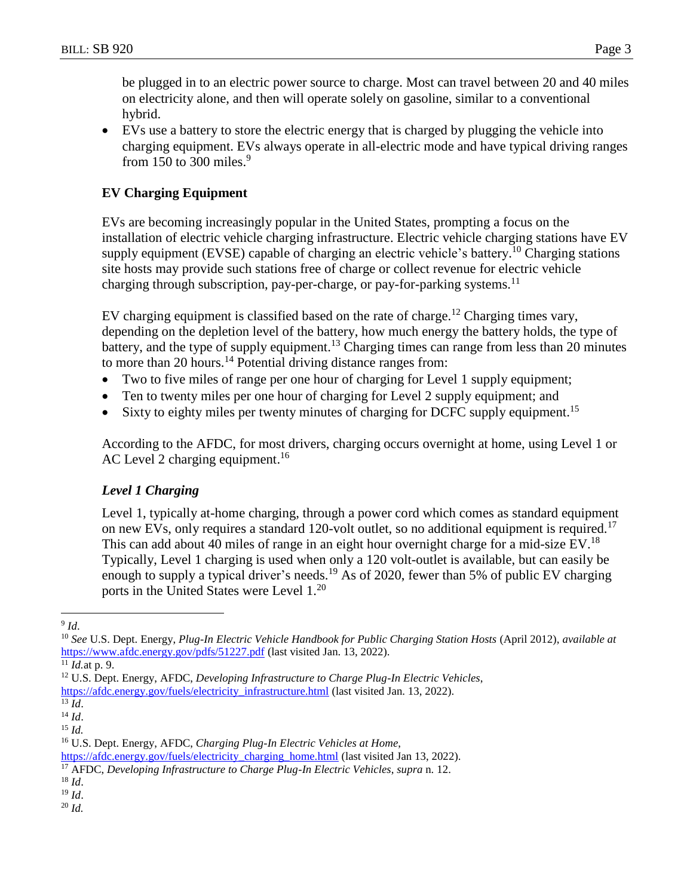be plugged in to an electric power source to charge. Most can travel between 20 and 40 miles on electricity alone, and then will operate solely on gasoline, similar to a conventional hybrid.

 EVs use a battery to store the electric energy that is charged by plugging the vehicle into charging equipment. EVs always operate in all-electric mode and have typical driving ranges from 150 to 300 miles.<sup>9</sup>

# **EV Charging Equipment**

EVs are becoming increasingly popular in the United States, prompting a focus on the installation of electric vehicle charging infrastructure. Electric vehicle charging stations have EV supply equipment (EVSE) capable of charging an electric vehicle's battery.<sup>10</sup> Charging stations site hosts may provide such stations free of charge or collect revenue for electric vehicle charging through subscription, pay-per-charge, or pay-for-parking systems.<sup>11</sup>

EV charging equipment is classified based on the rate of charge.<sup>12</sup> Charging times vary, depending on the depletion level of the battery, how much energy the battery holds, the type of battery, and the type of supply equipment.<sup>13</sup> Charging times can range from less than 20 minutes to more than 20 hours. <sup>14</sup> Potential driving distance ranges from:

- Two to five miles of range per one hour of charging for Level 1 supply equipment;
- Ten to twenty miles per one hour of charging for Level 2 supply equipment; and
- Sixty to eighty miles per twenty minutes of charging for DCFC supply equipment.<sup>15</sup>

According to the AFDC, for most drivers, charging occurs overnight at home, using Level 1 or AC Level 2 charging equipment.<sup>16</sup>

# *Level 1 Charging*

Level 1, typically at-home charging, through a power cord which comes as standard equipment on new EVs, only requires a standard 120-volt outlet, so no additional equipment is required.<sup>17</sup> This can add about 40 miles of range in an eight hour overnight charge for a mid-size EV.<sup>18</sup> Typically, Level 1 charging is used when only a 120 volt-outlet is available, but can easily be enough to supply a typical driver's needs.<sup>19</sup> As of 2020, fewer than 5% of public EV charging ports in the United States were Level 1. 20

<sup>20</sup> *Id.*

 $\overline{a}$ 9 *Id*.

<sup>10</sup> *See* U.S. Dept. Energy, *Plug-In Electric Vehicle Handbook for Public Charging Station Hosts* (April 2012), *available at*  <https://www.afdc.energy.gov/pdfs/51227.pdf> (last visited Jan. 13, 2022).

<sup>11</sup> *Id.*at p. 9.

<sup>12</sup> U.S. Dept. Energy, AFDC, *Developing Infrastructure to Charge Plug-In Electric Vehicles*,

[https://afdc.energy.gov/fuels/electricity\\_infrastructure.html](https://afdc.energy.gov/fuels/electricity_infrastructure.html) (last visited Jan. 13, 2022).

 $\overline{^{13}$  *Id.* 

<sup>14</sup> *Id*.

<sup>15</sup> *Id.*

<sup>16</sup> U.S. Dept. Energy, AFDC, *Charging Plug-In Electric Vehicles at Home*,

[https://afdc.energy.gov/fuels/electricity\\_charging\\_home.html](https://afdc.energy.gov/fuels/electricity_charging_home.html) (last visited Jan 13, 2022).

<sup>17</sup> AFDC, *Developing Infrastructure to Charge Plug-In Electric Vehicles*, *supra* n. 12.

<sup>18</sup> *Id*.

<sup>19</sup> *Id*.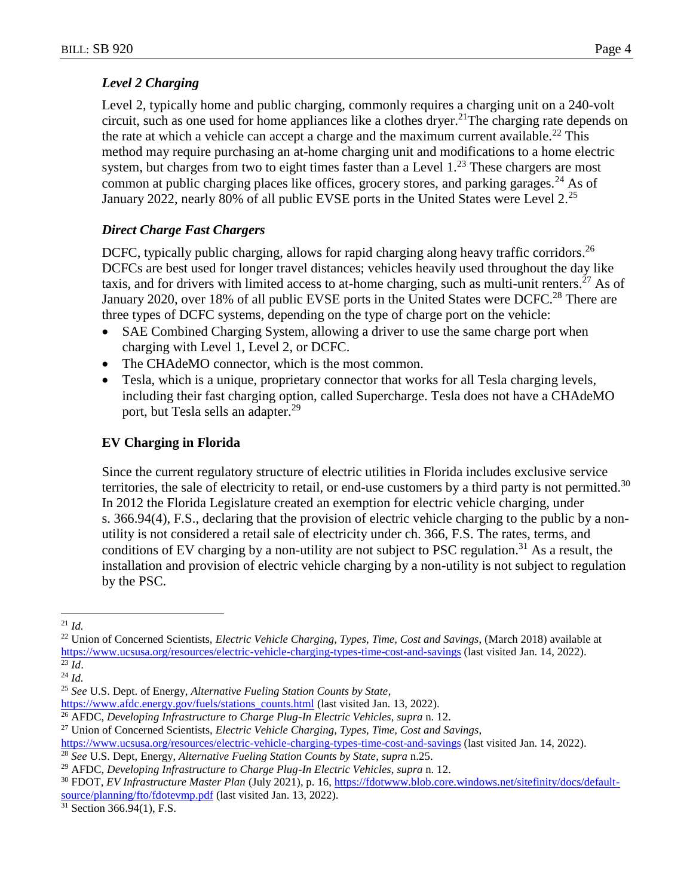## *Level 2 Charging*

Level 2, typically home and public charging, commonly requires a charging unit on a 240-volt circuit, such as one used for home appliances like a clothes dryer. <sup>21</sup>The charging rate depends on the rate at which a vehicle can accept a charge and the maximum current available.<sup>22</sup> This method may require purchasing an at-home charging unit and modifications to a home electric system, but charges from two to eight times faster than a Level  $1.^{23}$  These chargers are most common at public charging places like offices, grocery stores, and parking garages.<sup>24</sup> As of January 2022, nearly 80% of all public EVSE ports in the United States were Level 2.<sup>25</sup>

## *Direct Charge Fast Chargers*

DCFC, typically public charging, allows for rapid charging along heavy traffic corridors.<sup>26</sup> DCFCs are best used for longer travel distances; vehicles heavily used throughout the day like taxis, and for drivers with limited access to at-home charging, such as multi-unit renters.<sup>27</sup> As of January 2020, over 18% of all public EVSE ports in the United States were DCFC.<sup>28</sup> There are three types of DCFC systems, depending on the type of charge port on the vehicle:

- SAE Combined Charging System, allowing a driver to use the same charge port when charging with Level 1, Level 2, or DCFC.
- The CHAdeMO connector, which is the most common.
- Tesla, which is a unique, proprietary connector that works for all Tesla charging levels, including their fast charging option, called Supercharge. Tesla does not have a CHAdeMO port, but Tesla sells an adapter.<sup>29</sup>

# **EV Charging in Florida**

Since the current regulatory structure of electric utilities in Florida includes exclusive service territories, the sale of electricity to retail, or end-use customers by a third party is not permitted.<sup>30</sup> In 2012 the Florida Legislature created an exemption for electric vehicle charging, under s. 366.94(4), F.S., declaring that the provision of electric vehicle charging to the public by a nonutility is not considered a retail sale of electricity under ch. 366, F.S. The rates, terms, and conditions of EV charging by a non-utility are not subject to PSC regulation.<sup>31</sup> As a result, the installation and provision of electric vehicle charging by a non-utility is not subject to regulation by the PSC.

 $\overline{a}$ 

<sup>26</sup> AFDC, *Developing Infrastructure to Charge Plug-In Electric Vehicles*, *supra* n. 12.

<sup>21</sup> *Id.*

<sup>22</sup> Union of Concerned Scientists, *Electric Vehicle Charging, Types, Time, Cost and Savings*, (March 2018) available at <https://www.ucsusa.org/resources/electric-vehicle-charging-types-time-cost-and-savings> (last visited Jan. 14, 2022).  $^{23}$   $\overline{Id}$ .

<sup>24</sup> *Id.*

<sup>25</sup> *See* U.S. Dept. of Energy, *Alternative Fueling Station Counts by State*,

[https://www.afdc.energy.gov/fuels/stations\\_counts.html](https://www.afdc.energy.gov/fuels/stations_counts.html) (last visited Jan. 13, 2022).

<sup>27</sup> Union of Concerned Scientists, *Electric Vehicle Charging, Types, Time, Cost and Savings*,

<https://www.ucsusa.org/resources/electric-vehicle-charging-types-time-cost-and-savings> (last visited Jan. 14, 2022).

<sup>28</sup> *See* U.S. Dept, Energy, *Alternative Fueling Station Counts by State*, *supra* n.25.

<sup>29</sup> AFDC, *Developing Infrastructure to Charge Plug-In Electric Vehicles*, *supra* n. 12.

<sup>30</sup> FDOT, *EV Infrastructure Master Plan* (July 2021), p. 16, [https://fdotwww.blob.core.windows.net/sitefinity/docs/default](https://fdotwww.blob.core.windows.net/sitefinity/docs/default-source/planning/fto/fdotevmp.pdf)[source/planning/fto/fdotevmp.pdf](https://fdotwww.blob.core.windows.net/sitefinity/docs/default-source/planning/fto/fdotevmp.pdf) (last visited Jan. 13, 2022).

<sup>31</sup> Section 366.94(1), F.S.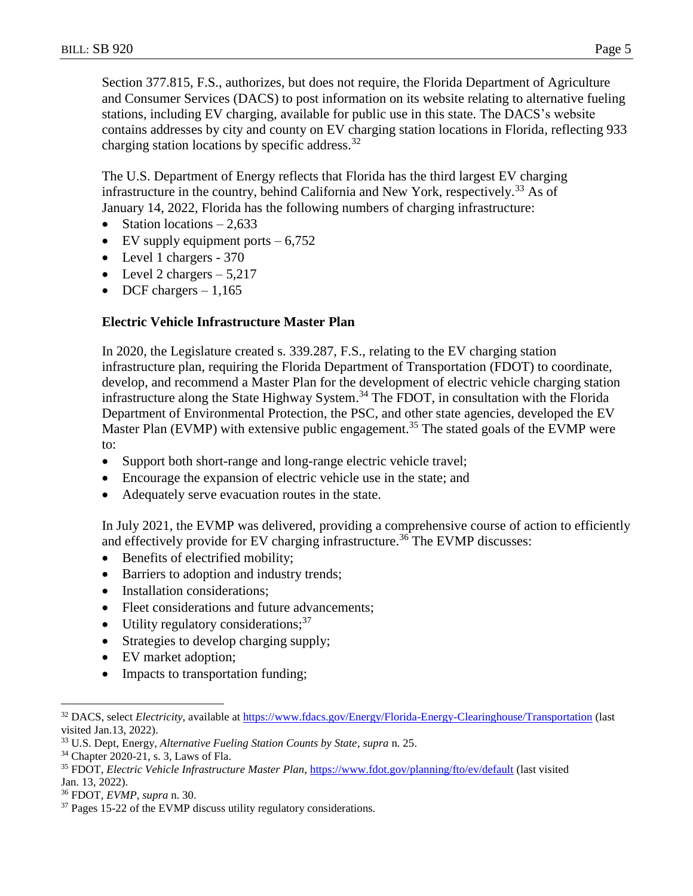Section 377.815, F.S., authorizes, but does not require, the Florida Department of Agriculture and Consumer Services (DACS) to post information on its website relating to alternative fueling stations, including EV charging, available for public use in this state. The DACS's website contains addresses by city and county on EV charging station locations in Florida, reflecting 933 charging station locations by specific address.  $32$ 

The U.S. Department of Energy reflects that Florida has the third largest EV charging infrastructure in the country, behind California and New York, respectively.<sup>33</sup> As of January 14, 2022, Florida has the following numbers of charging infrastructure:

- Station locations  $-2,633$
- $\bullet$  EV supply equipment ports  $-6,752$
- Level 1 chargers 370
- Level 2 chargers  $-5,217$
- DCF chargers  $-1,165$

#### **Electric Vehicle Infrastructure Master Plan**

In 2020, the Legislature created s. 339.287, F.S., relating to the EV charging station infrastructure plan, requiring the Florida Department of Transportation (FDOT) to coordinate, develop, and recommend a Master Plan for the development of electric vehicle charging station infrastructure along the State Highway System. <sup>34</sup> The FDOT, in consultation with the Florida Department of Environmental Protection, the PSC, and other state agencies, developed the EV Master Plan (EVMP) with extensive public engagement.<sup>35</sup> The stated goals of the EVMP were to:

- Support both short-range and long-range electric vehicle travel;
- Encourage the expansion of electric vehicle use in the state; and
- Adequately serve evacuation routes in the state.

In July 2021, the EVMP was delivered, providing a comprehensive course of action to efficiently and effectively provide for EV charging infrastructure. <sup>36</sup> The EVMP discusses:

- Benefits of electrified mobility;
- Barriers to adoption and industry trends;
- Installation considerations;
- Fleet considerations and future advancements;
- $\bullet$  Utility regulatory considerations;  $37$
- Strategies to develop charging supply;
- EV market adoption;
- Impacts to transportation funding;

<sup>32</sup> DACS, select *Electricity*, available at<https://www.fdacs.gov/Energy/Florida-Energy-Clearinghouse/Transportation> (last visited Jan.13, 2022).

<sup>33</sup> U.S. Dept, Energy, *Alternative Fueling Station Counts by State*, *supra* n. 25.

<sup>34</sup> Chapter 2020-21, s. 3, Laws of Fla.

<sup>35</sup> FDOT, *Electric Vehicle Infrastructure Master Plan*,<https://www.fdot.gov/planning/fto/ev/default> (last visited Jan. 13, 2022).

<sup>36</sup> FDOT, *EVMP*, *supra* n. 30.

<sup>&</sup>lt;sup>37</sup> Pages 15-22 of the EVMP discuss utility regulatory considerations.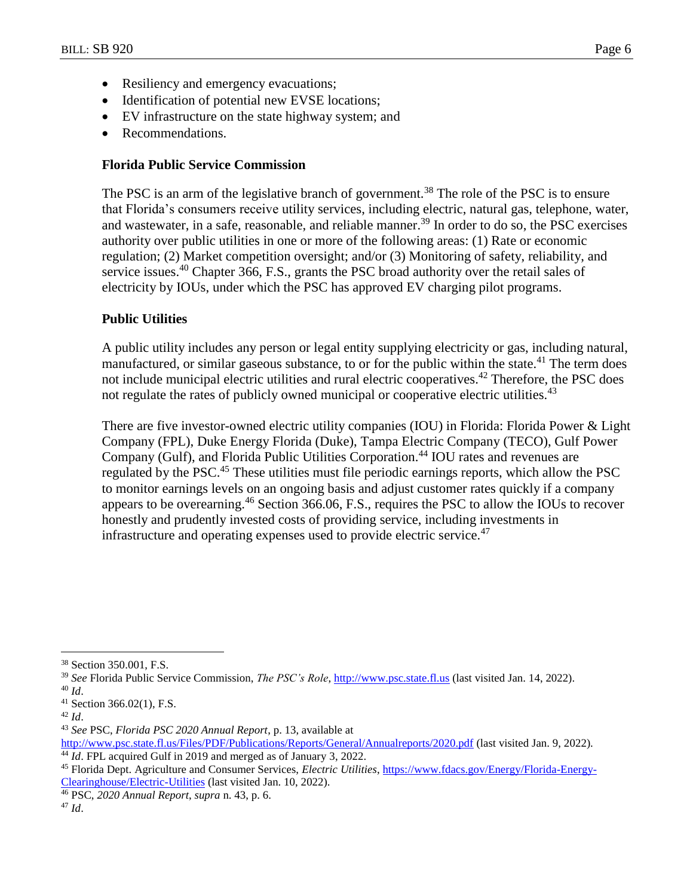- Resiliency and emergency evacuations;
- Identification of potential new EVSE locations;
- EV infrastructure on the state highway system; and
- Recommendations.

### **Florida Public Service Commission**

The PSC is an arm of the legislative branch of government.<sup>38</sup> The role of the PSC is to ensure that Florida's consumers receive utility services, including electric, natural gas, telephone, water, and wastewater, in a safe, reasonable, and reliable manner. <sup>39</sup> In order to do so, the PSC exercises authority over public utilities in one or more of the following areas: (1) Rate or economic regulation; (2) Market competition oversight; and/or (3) Monitoring of safety, reliability, and service issues.<sup>40</sup> Chapter 366, F.S., grants the PSC broad authority over the retail sales of electricity by IOUs, under which the PSC has approved EV charging pilot programs.

## **Public Utilities**

A public utility includes any person or legal entity supplying electricity or gas, including natural, manufactured, or similar gaseous substance, to or for the public within the state.<sup>41</sup> The term does not include municipal electric utilities and rural electric cooperatives.<sup>42</sup> Therefore, the PSC does not regulate the rates of publicly owned municipal or cooperative electric utilities.<sup>43</sup>

There are five investor-owned electric utility companies (IOU) in Florida: Florida Power & Light Company (FPL), Duke Energy Florida (Duke), Tampa Electric Company (TECO), Gulf Power Company (Gulf), and Florida Public Utilities Corporation.<sup>44</sup> IOU rates and revenues are regulated by the PSC.<sup>45</sup> These utilities must file periodic earnings reports, which allow the PSC to monitor earnings levels on an ongoing basis and adjust customer rates quickly if a company appears to be overearning.<sup>46</sup> Section 366.06, F.S., requires the PSC to allow the IOUs to recover honestly and prudently invested costs of providing service, including investments in infrastructure and operating expenses used to provide electric service.<sup>47</sup>

 $\overline{a}$ 

<sup>47</sup> *Id*.

<sup>38</sup> Section 350.001, F.S.

<sup>39</sup> *See* Florida Public Service Commission, *The PSC's Role*, [http://www.psc.state.fl.us](http://www.psc.state.fl.us/) (last visited Jan. 14, 2022). <sup>40</sup> *Id*.

<sup>41</sup> Section 366.02(1), F.S.

<sup>42</sup> *Id*.

<sup>43</sup> *See* PSC, *Florida PSC 2020 Annual Report*, p. 13, available at

<http://www.psc.state.fl.us/Files/PDF/Publications/Reports/General/Annualreports/2020.pdf> (last visited Jan. 9, 2022).

<sup>&</sup>lt;sup>44</sup> *Id*. FPL acquired Gulf in 2019 and merged as of January 3, 2022.

<sup>45</sup> Florida Dept. Agriculture and Consumer Services, *Electric Utilities*, [https://www.fdacs.gov/Energy/Florida-Energy-](https://www.fdacs.gov/Energy/Florida-Energy-Clearinghouse/Electric-Utilities)[Clearinghouse/Electric-Utilities](https://www.fdacs.gov/Energy/Florida-Energy-Clearinghouse/Electric-Utilities) (last visited Jan. 10, 2022).

<sup>46</sup> PSC, *2020 Annual Report*, *supra* n. 43, p. 6.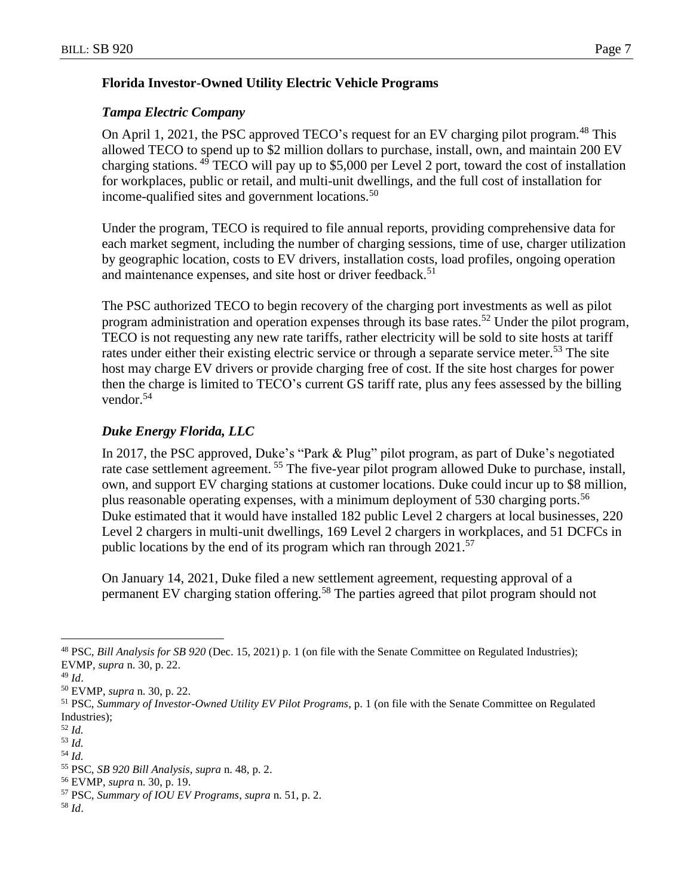## **Florida Investor-Owned Utility Electric Vehicle Programs**

### *Tampa Electric Company*

On April 1, 2021, the PSC approved TECO's request for an EV charging pilot program.<sup>48</sup> This allowed TECO to spend up to \$2 million dollars to purchase, install, own, and maintain 200 EV charging stations. <sup>49</sup> TECO will pay up to \$5,000 per Level 2 port, toward the cost of installation for workplaces, public or retail, and multi-unit dwellings, and the full cost of installation for income-qualified sites and government locations.<sup>50</sup>

Under the program, TECO is required to file annual reports, providing comprehensive data for each market segment, including the number of charging sessions, time of use, charger utilization by geographic location, costs to EV drivers, installation costs, load profiles, ongoing operation and maintenance expenses, and site host or driver feedback.<sup>51</sup>

The PSC authorized TECO to begin recovery of the charging port investments as well as pilot program administration and operation expenses through its base rates.<sup>52</sup> Under the pilot program, TECO is not requesting any new rate tariffs, rather electricity will be sold to site hosts at tariff rates under either their existing electric service or through a separate service meter.<sup>53</sup> The site host may charge EV drivers or provide charging free of cost. If the site host charges for power then the charge is limited to TECO's current GS tariff rate, plus any fees assessed by the billing vendor.<sup>54</sup>

# *Duke Energy Florida, LLC*

In 2017, the PSC approved, Duke's "Park & Plug" pilot program, as part of Duke's negotiated rate case settlement agreement.<sup>55</sup> The five-year pilot program allowed Duke to purchase, install, own, and support EV charging stations at customer locations. Duke could incur up to \$8 million, plus reasonable operating expenses, with a minimum deployment of 530 charging ports.<sup>56</sup> Duke estimated that it would have installed 182 public Level 2 chargers at local businesses, 220 Level 2 chargers in multi-unit dwellings, 169 Level 2 chargers in workplaces, and 51 DCFCs in public locations by the end of its program which ran through  $2021$ .<sup>57</sup>

On January 14, 2021, Duke filed a new settlement agreement, requesting approval of a permanent EV charging station offering.<sup>58</sup> The parties agreed that pilot program should not

 $\overline{a}$ 

<sup>53</sup> *Id.*

<sup>58</sup> *Id*.

<sup>48</sup> PSC, *Bill Analysis for SB 920* (Dec. 15, 2021) p. 1 (on file with the Senate Committee on Regulated Industries); EVMP, *supra* n. 30, p. 22.

<sup>49</sup> *Id*.

<sup>50</sup> EVMP, *supra* n. 30, p. 22.

<sup>51</sup> PSC, *Summary of Investor-Owned Utility EV Pilot Programs*, p. 1 (on file with the Senate Committee on Regulated Industries);

<sup>52</sup> *Id.*

<sup>54</sup> *Id.*

<sup>55</sup> PSC, *SB 920 Bill Analysis*, *supra* n. 48, p. 2.

<sup>56</sup> EVMP, *supra* n. 30, p. 19.

<sup>57</sup> PSC, *Summary of IOU EV Programs*, *supra* n. 51, p. 2.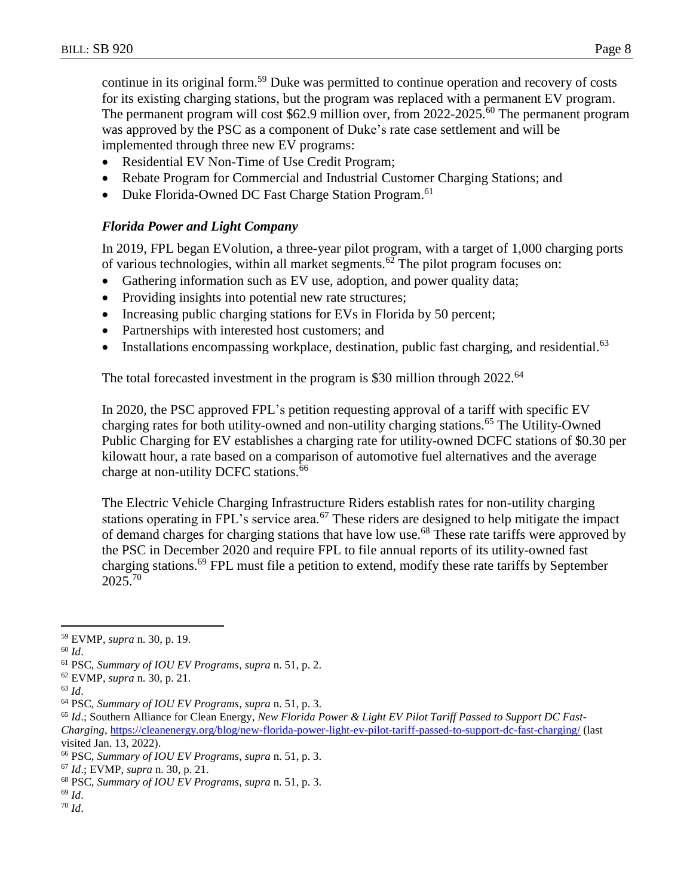continue in its original form.<sup>59</sup> Duke was permitted to continue operation and recovery of costs for its existing charging stations, but the program was replaced with a permanent EV program. The permanent program will cost \$62.9 million over, from 2022-2025.<sup>60</sup> The permanent program was approved by the PSC as a component of Duke's rate case settlement and will be implemented through three new EV programs:

- Residential EV Non-Time of Use Credit Program;
- Rebate Program for Commercial and Industrial Customer Charging Stations; and
- Duke Florida-Owned DC Fast Charge Station Program.<sup>61</sup>

## *Florida Power and Light Company*

In 2019, FPL began EVolution, a three-year pilot program, with a target of 1,000 charging ports of various technologies, within all market segments. $62$  The pilot program focuses on:

- Gathering information such as EV use, adoption, and power quality data;
- Providing insights into potential new rate structures;
- Increasing public charging stations for EVs in Florida by 50 percent;
- Partnerships with interested host customers; and
- Installations encompassing workplace, destination, public fast charging, and residential.<sup>63</sup>

The total forecasted investment in the program is \$30 million through 2022.<sup>64</sup>

In 2020, the PSC approved FPL's petition requesting approval of a tariff with specific EV charging rates for both utility-owned and non-utility charging stations.<sup>65</sup> The Utility-Owned Public Charging for EV establishes a charging rate for utility-owned DCFC stations of \$0.30 per kilowatt hour, a rate based on a comparison of automotive fuel alternatives and the average charge at non-utility DCFC stations.<sup>66</sup>

The Electric Vehicle Charging Infrastructure Riders establish rates for non-utility charging stations operating in FPL's service area.<sup>67</sup> These riders are designed to help mitigate the impact of demand charges for charging stations that have low use.<sup>68</sup> These rate tariffs were approved by the PSC in December 2020 and require FPL to file annual reports of its utility-owned fast charging stations.<sup>69</sup> FPL must file a petition to extend, modify these rate tariffs by September 2025. 70

 $\overline{a}$ 

<sup>63</sup> *Id*.

<sup>69</sup> *Id*. <sup>70</sup> *Id*.

<sup>59</sup> EVMP, *supra* n. 30, p. 19.

<sup>60</sup> *Id*.

<sup>61</sup> PSC, *Summary of IOU EV Programs*, *supra* n. 51, p. 2.

<sup>62</sup> EVMP, *supra* n. 30, p. 21.

<sup>64</sup> PSC, *Summary of IOU EV Programs*, *supra* n. 51, p. 3.

<sup>65</sup> *Id*.; Southern Alliance for Clean Energy, *New Florida Power & Light EV Pilot Tariff Passed to Support DC Fast-Charging*,<https://cleanenergy.org/blog/new-florida-power-light-ev-pilot-tariff-passed-to-support-dc-fast-charging/> (last visited Jan. 13, 2022).

<sup>66</sup> PSC, *Summary of IOU EV Programs*, *supra* n. 51, p. 3.

<sup>67</sup> *Id*.; EVMP, *supra* n. 30, p. 21.

<sup>68</sup> PSC, *Summary of IOU EV Programs*, *supra* n. 51, p. 3.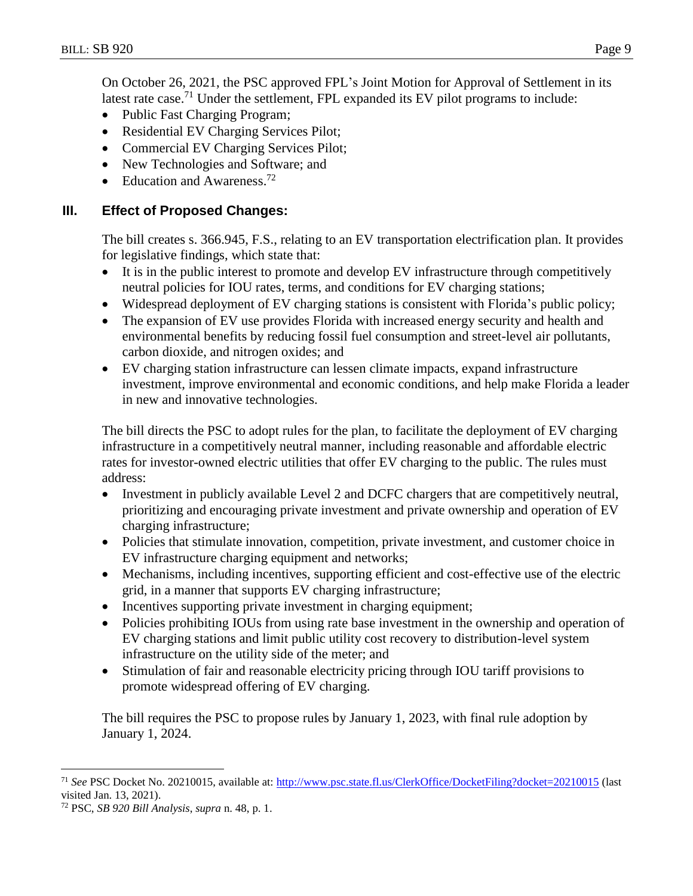On October 26, 2021, the PSC approved FPL's Joint Motion for Approval of Settlement in its latest rate case.<sup>71</sup> Under the settlement, FPL expanded its EV pilot programs to include:

- Public Fast Charging Program;
- Residential EV Charging Services Pilot;
- Commercial EV Charging Services Pilot;
- New Technologies and Software; and
- $\bullet$  Education and Awareness.<sup>72</sup>

## **III. Effect of Proposed Changes:**

The bill creates s. 366.945, F.S., relating to an EV transportation electrification plan. It provides for legislative findings, which state that:

- It is in the public interest to promote and develop EV infrastructure through competitively neutral policies for IOU rates, terms, and conditions for EV charging stations;
- Widespread deployment of EV charging stations is consistent with Florida's public policy;
- The expansion of EV use provides Florida with increased energy security and health and environmental benefits by reducing fossil fuel consumption and street-level air pollutants, carbon dioxide, and nitrogen oxides; and
- EV charging station infrastructure can lessen climate impacts, expand infrastructure investment, improve environmental and economic conditions, and help make Florida a leader in new and innovative technologies.

The bill directs the PSC to adopt rules for the plan, to facilitate the deployment of EV charging infrastructure in a competitively neutral manner, including reasonable and affordable electric rates for investor-owned electric utilities that offer EV charging to the public. The rules must address:

- Investment in publicly available Level 2 and DCFC chargers that are competitively neutral, prioritizing and encouraging private investment and private ownership and operation of EV charging infrastructure;
- Policies that stimulate innovation, competition, private investment, and customer choice in EV infrastructure charging equipment and networks;
- Mechanisms, including incentives, supporting efficient and cost-effective use of the electric grid, in a manner that supports EV charging infrastructure;
- Incentives supporting private investment in charging equipment;
- Policies prohibiting IOUs from using rate base investment in the ownership and operation of EV charging stations and limit public utility cost recovery to distribution-level system infrastructure on the utility side of the meter; and
- Stimulation of fair and reasonable electricity pricing through IOU tariff provisions to promote widespread offering of EV charging.

The bill requires the PSC to propose rules by January 1, 2023, with final rule adoption by January 1, 2024.

<sup>71</sup> *See* PSC Docket No. 20210015, available at:<http://www.psc.state.fl.us/ClerkOffice/DocketFiling?docket=20210015> (last visited Jan. 13, 2021).

<sup>72</sup> PSC, *SB 920 Bill Analysis*, *supra* n. 48, p. 1.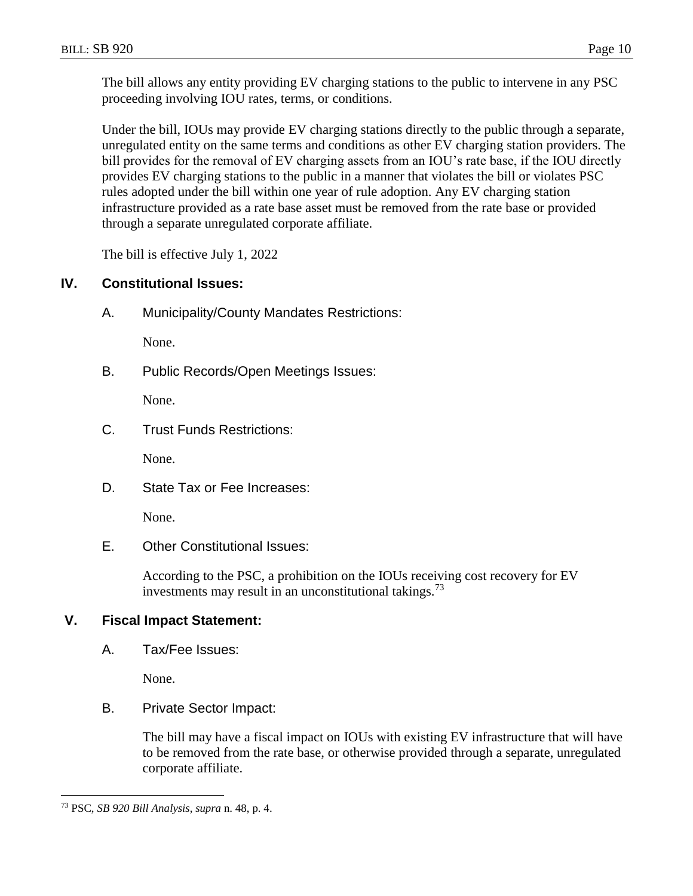The bill allows any entity providing EV charging stations to the public to intervene in any PSC proceeding involving IOU rates, terms, or conditions.

Under the bill, IOUs may provide EV charging stations directly to the public through a separate, unregulated entity on the same terms and conditions as other EV charging station providers. The bill provides for the removal of EV charging assets from an IOU's rate base, if the IOU directly provides EV charging stations to the public in a manner that violates the bill or violates PSC rules adopted under the bill within one year of rule adoption. Any EV charging station infrastructure provided as a rate base asset must be removed from the rate base or provided through a separate unregulated corporate affiliate.

The bill is effective July 1, 2022

# **IV. Constitutional Issues:**

A. Municipality/County Mandates Restrictions:

None.

B. Public Records/Open Meetings Issues:

None.

C. Trust Funds Restrictions:

None.

D. State Tax or Fee Increases:

None.

E. Other Constitutional Issues:

According to the PSC, a prohibition on the IOUs receiving cost recovery for EV investments may result in an unconstitutional takings.<sup>73</sup>

# **V. Fiscal Impact Statement:**

A. Tax/Fee Issues:

None.

B. Private Sector Impact:

The bill may have a fiscal impact on IOUs with existing EV infrastructure that will have to be removed from the rate base, or otherwise provided through a separate, unregulated corporate affiliate.

<sup>73</sup> PSC, *SB 920 Bill Analysis*, *supra* n. 48, p. 4.